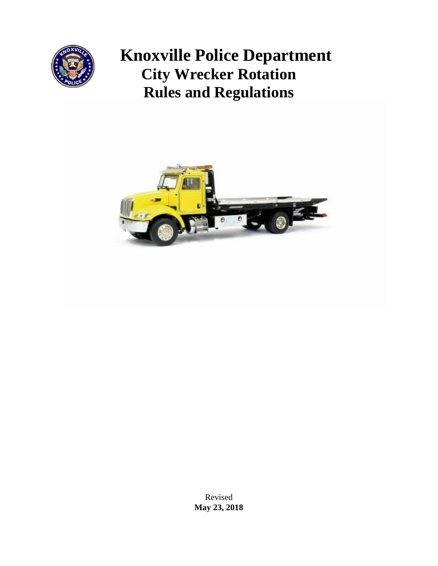

# **Knoxville Police Department City Wrecker Rotation Rules and Regulations**



Revised **May 23, 2018**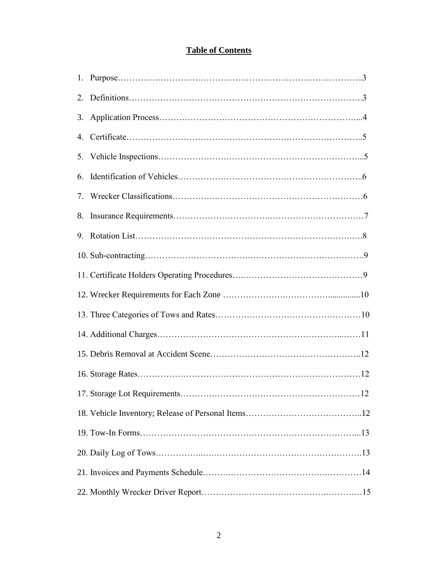# **Table of Contents**

| 2.             |  |
|----------------|--|
| 3.             |  |
| 4.             |  |
| 5 <sub>1</sub> |  |
| 6.             |  |
| 7.             |  |
| 8.             |  |
| 9.             |  |
|                |  |
|                |  |
|                |  |
|                |  |
|                |  |
|                |  |
|                |  |
|                |  |
|                |  |
|                |  |
|                |  |
|                |  |
|                |  |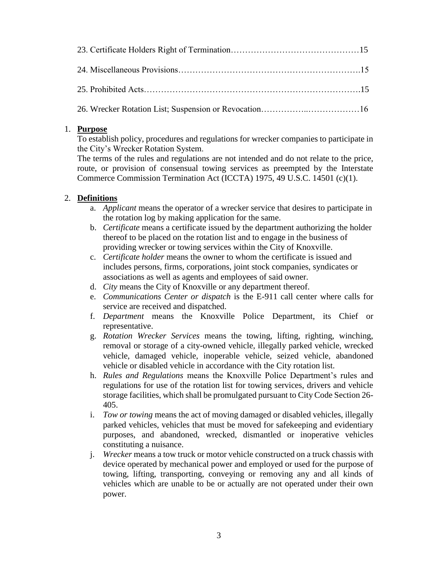# 1. **Purpose**

To establish policy, procedures and regulations for wrecker companies to participate in the City's Wrecker Rotation System.

The terms of the rules and regulations are not intended and do not relate to the price, route, or provision of consensual towing services as preempted by the Interstate Commerce Commission Termination Act (ICCTA) 1975, 49 U.S.C. 14501 (c)(1).

# 2. **Definitions**

- a. *Applicant* means the operator of a wrecker service that desires to participate in the rotation log by making application for the same.
- b. *Certificate* means a certificate issued by the department authorizing the holder thereof to be placed on the rotation list and to engage in the business of providing wrecker or towing services within the City of Knoxville.
- c. *Certificate holder* means the owner to whom the certificate is issued and includes persons, firms, corporations, joint stock companies, syndicates or associations as well as agents and employees of said owner.
- d. *City* means the City of Knoxville or any department thereof.
- e. *Communications Center or dispatch* is the E-911 call center where calls for service are received and dispatched.
- f. *Department* means the Knoxville Police Department, its Chief or representative.
- g. *Rotation Wrecker Services* means the towing, lifting, righting, winching, removal or storage of a city-owned vehicle, illegally parked vehicle, wrecked vehicle, damaged vehicle, inoperable vehicle, seized vehicle, abandoned vehicle or disabled vehicle in accordance with the City rotation list.
- h. *Rules and Regulations* means the Knoxville Police Department's rules and regulations for use of the rotation list for towing services, drivers and vehicle storage facilities, which shall be promulgated pursuant to City Code Section 26- 405.
- i. *Tow or towing* means the act of moving damaged or disabled vehicles, illegally parked vehicles, vehicles that must be moved for safekeeping and evidentiary purposes, and abandoned, wrecked, dismantled or inoperative vehicles constituting a nuisance.
- j. *Wrecker* means a tow truck or motor vehicle constructed on a truck chassis with device operated by mechanical power and employed or used for the purpose of towing, lifting, transporting, conveying or removing any and all kinds of vehicles which are unable to be or actually are not operated under their own power.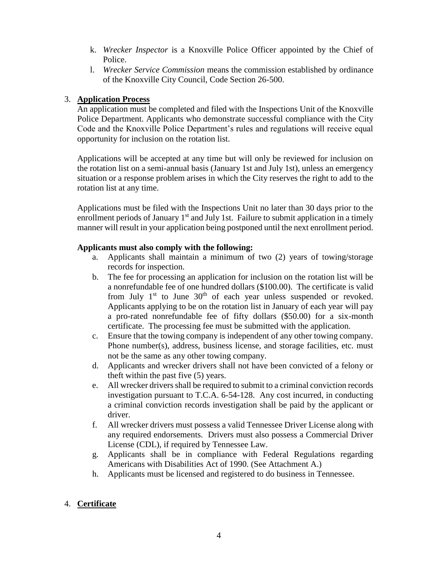- k. *Wrecker Inspector* is a Knoxville Police Officer appointed by the Chief of Police.
- l. *Wrecker Service Commission* means the commission established by ordinance of the Knoxville City Council, Code Section 26-500.

# 3. **Application Process**

An application must be completed and filed with the Inspections Unit of the Knoxville Police Department. Applicants who demonstrate successful compliance with the City Code and the Knoxville Police Department's rules and regulations will receive equal opportunity for inclusion on the rotation list.

Applications will be accepted at any time but will only be reviewed for inclusion on the rotation list on a semi-annual basis (January 1st and July 1st), unless an emergency situation or a response problem arises in which the City reserves the right to add to the rotation list at any time.

Applications must be filed with the Inspections Unit no later than 30 days prior to the enrollment periods of January  $1<sup>st</sup>$  and July 1st. Failure to submit application in a timely manner will result in your application being postponed until the next enrollment period.

# **Applicants must also comply with the following:**

- a. Applicants shall maintain a minimum of two (2) years of towing/storage records for inspection.
- b. The fee for processing an application for inclusion on the rotation list will be a nonrefundable fee of one hundred dollars (\$100.00). The certificate is valid from July  $1<sup>st</sup>$  to June  $30<sup>th</sup>$  of each year unless suspended or revoked. Applicants applying to be on the rotation list in January of each year will pay a pro-rated nonrefundable fee of fifty dollars (\$50.00) for a six-month certificate. The processing fee must be submitted with the application.
- c. Ensure that the towing company is independent of any other towing company. Phone number(s), address, business license, and storage facilities, etc. must not be the same as any other towing company.
- d. Applicants and wrecker drivers shall not have been convicted of a felony or theft within the past five (5) years.
- e. All wrecker drivers shall be required to submit to a criminal conviction records investigation pursuant to T.C.A. 6-54-128. Any cost incurred, in conducting a criminal conviction records investigation shall be paid by the applicant or driver.
- f. All wrecker drivers must possess a valid Tennessee Driver License along with any required endorsements. Drivers must also possess a Commercial Driver License (CDL), if required by Tennessee Law.
- g. Applicants shall be in compliance with Federal Regulations regarding Americans with Disabilities Act of 1990. (See Attachment A.)
- h. Applicants must be licensed and registered to do business in Tennessee.

# 4. **Certificate**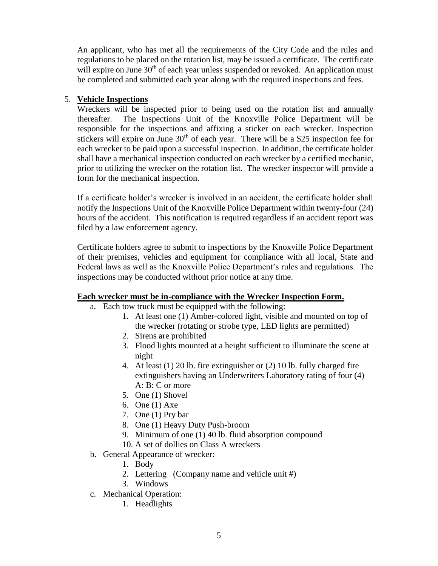An applicant, who has met all the requirements of the City Code and the rules and regulations to be placed on the rotation list, may be issued a certificate. The certificate will expire on June  $30<sup>th</sup>$  of each year unless suspended or revoked. An application must be completed and submitted each year along with the required inspections and fees.

# 5. **Vehicle Inspections**

Wreckers will be inspected prior to being used on the rotation list and annually thereafter. The Inspections Unit of the Knoxville Police Department will be responsible for the inspections and affixing a sticker on each wrecker. Inspection stickers will expire on June  $30<sup>th</sup>$  of each year. There will be a \$25 inspection fee for each wrecker to be paid upon a successful inspection. In addition, the certificate holder shall have a mechanical inspection conducted on each wrecker by a certified mechanic, prior to utilizing the wrecker on the rotation list. The wrecker inspector will provide a form for the mechanical inspection.

If a certificate holder's wrecker is involved in an accident, the certificate holder shall notify the Inspections Unit of the Knoxville Police Department within twenty-four (24) hours of the accident. This notification is required regardless if an accident report was filed by a law enforcement agency.

Certificate holders agree to submit to inspections by the Knoxville Police Department of their premises, vehicles and equipment for compliance with all local, State and Federal laws as well as the Knoxville Police Department's rules and regulations. The inspections may be conducted without prior notice at any time.

# **Each wrecker must be in-compliance with the Wrecker Inspection Form.**

- a. Each tow truck must be equipped with the following:
	- 1. At least one (1) Amber-colored light, visible and mounted on top of the wrecker (rotating or strobe type, LED lights are permitted)
	- 2. Sirens are prohibited
	- 3. Flood lights mounted at a height sufficient to illuminate the scene at night
	- 4. At least (1) 20 lb. fire extinguisher or (2) 10 lb. fully charged fire extinguishers having an Underwriters Laboratory rating of four (4) A: B: C or more
	- 5. One (1) Shovel
	- 6. One (1) Axe
	- 7. One (1) Pry bar
	- 8. One (1) Heavy Duty Push-broom
	- 9. Minimum of one (1) 40 lb. fluid absorption compound
	- 10. A set of dollies on Class A wreckers
- b. General Appearance of wrecker:
	- 1. Body
	- 2. Lettering (Company name and vehicle unit #)
	- 3. Windows
- c. Mechanical Operation:
	- 1. Headlights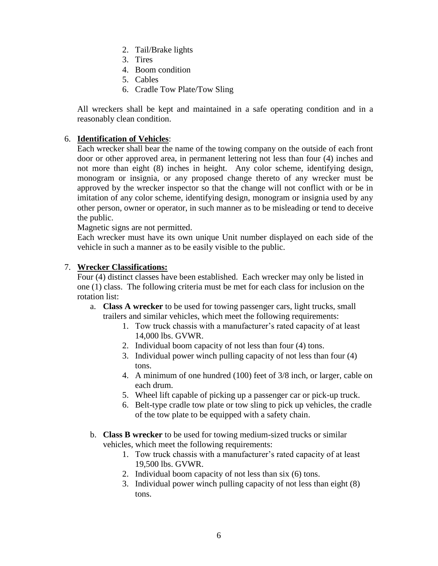- 2. Tail/Brake lights
- 3. Tires
- 4. Boom condition
- 5. Cables
- 6. Cradle Tow Plate/Tow Sling

All wreckers shall be kept and maintained in a safe operating condition and in a reasonably clean condition.

# 6. **Identification of Vehicles**:

Each wrecker shall bear the name of the towing company on the outside of each front door or other approved area, in permanent lettering not less than four (4) inches and not more than eight (8) inches in height. Any color scheme, identifying design, monogram or insignia, or any proposed change thereto of any wrecker must be approved by the wrecker inspector so that the change will not conflict with or be in imitation of any color scheme, identifying design, monogram or insignia used by any other person, owner or operator, in such manner as to be misleading or tend to deceive the public.

Magnetic signs are not permitted.

Each wrecker must have its own unique Unit number displayed on each side of the vehicle in such a manner as to be easily visible to the public.

# 7. **Wrecker Classifications:**

Four (4) distinct classes have been established. Each wrecker may only be listed in one (1) class. The following criteria must be met for each class for inclusion on the rotation list:

- a. **Class A wrecker** to be used for towing passenger cars, light trucks, small trailers and similar vehicles, which meet the following requirements:
	- 1. Tow truck chassis with a manufacturer's rated capacity of at least 14,000 lbs. GVWR.
	- 2. Individual boom capacity of not less than four (4) tons.
	- 3. Individual power winch pulling capacity of not less than four (4) tons.
	- 4. A minimum of one hundred (100) feet of 3/8 inch, or larger, cable on each drum.
	- 5. Wheel lift capable of picking up a passenger car or pick-up truck.
	- 6. Belt-type cradle tow plate or tow sling to pick up vehicles, the cradle of the tow plate to be equipped with a safety chain.
- b. **Class B wrecker** to be used for towing medium-sized trucks or similar vehicles, which meet the following requirements:
	- 1. Tow truck chassis with a manufacturer's rated capacity of at least 19,500 lbs. GVWR.
	- 2. Individual boom capacity of not less than six (6) tons.
	- 3. Individual power winch pulling capacity of not less than eight (8) tons.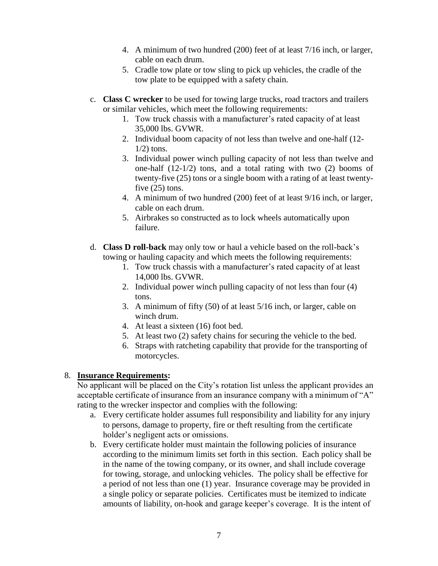- 4. A minimum of two hundred (200) feet of at least 7/16 inch, or larger, cable on each drum.
- 5. Cradle tow plate or tow sling to pick up vehicles, the cradle of the tow plate to be equipped with a safety chain.
- c. **Class C wrecker** to be used for towing large trucks, road tractors and trailers or similar vehicles, which meet the following requirements:
	- 1. Tow truck chassis with a manufacturer's rated capacity of at least 35,000 lbs. GVWR.
	- 2. Individual boom capacity of not less than twelve and one-half (12-  $1/2$ ) tons.
	- 3. Individual power winch pulling capacity of not less than twelve and one-half (12-1/2) tons, and a total rating with two (2) booms of twenty-five (25) tons or a single boom with a rating of at least twentyfive  $(25)$  tons.
	- 4. A minimum of two hundred (200) feet of at least 9/16 inch, or larger, cable on each drum.
	- 5. Airbrakes so constructed as to lock wheels automatically upon failure.
- d. **Class D roll-back** may only tow or haul a vehicle based on the roll-back's towing or hauling capacity and which meets the following requirements:
	- 1. Tow truck chassis with a manufacturer's rated capacity of at least 14,000 lbs. GVWR.
	- 2. Individual power winch pulling capacity of not less than four (4) tons.
	- 3. A minimum of fifty (50) of at least 5/16 inch, or larger, cable on winch drum.
	- 4. At least a sixteen (16) foot bed.
	- 5. At least two (2) safety chains for securing the vehicle to the bed.
	- 6. Straps with ratcheting capability that provide for the transporting of motorcycles.

# 8. **Insurance Requirements:**

No applicant will be placed on the City's rotation list unless the applicant provides an acceptable certificate of insurance from an insurance company with a minimum of "A" rating to the wrecker inspector and complies with the following:

- a. Every certificate holder assumes full responsibility and liability for any injury to persons, damage to property, fire or theft resulting from the certificate holder's negligent acts or omissions.
- b. Every certificate holder must maintain the following policies of insurance according to the minimum limits set forth in this section. Each policy shall be in the name of the towing company, or its owner, and shall include coverage for towing, storage, and unlocking vehicles. The policy shall be effective for a period of not less than one (1) year. Insurance coverage may be provided in a single policy or separate policies. Certificates must be itemized to indicate amounts of liability, on-hook and garage keeper's coverage. It is the intent of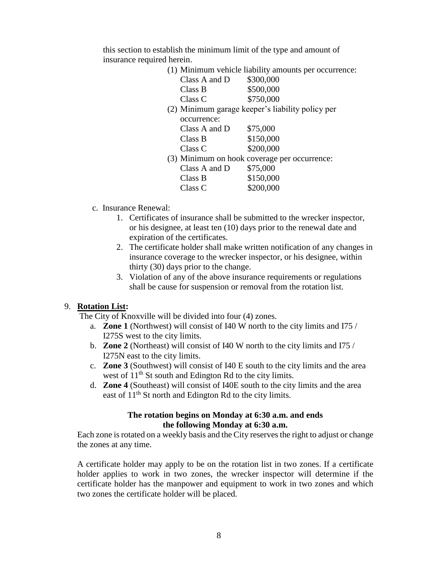this section to establish the minimum limit of the type and amount of insurance required herein.

| (1) Minimum vehicle liability amounts per occurrence: |                                                  |  |
|-------------------------------------------------------|--------------------------------------------------|--|
| Class A and D                                         | \$300,000                                        |  |
| Class B                                               | \$500,000                                        |  |
| Class C                                               | \$750,000                                        |  |
|                                                       | (2) Minimum garage keeper's liability policy per |  |
| occurrence:                                           |                                                  |  |
| Class A and $D$                                       | \$75,000                                         |  |
| Class B                                               | \$150,000                                        |  |
| Class C                                               | \$200,000                                        |  |
|                                                       | (3) Minimum on hook coverage per occurrence:     |  |
| Class A and D                                         | \$75,000                                         |  |
| Class B                                               | \$150,000                                        |  |
| Class C                                               | \$200,000                                        |  |

- c. Insurance Renewal:
	- 1. Certificates of insurance shall be submitted to the wrecker inspector, or his designee, at least ten (10) days prior to the renewal date and expiration of the certificates.
	- 2. The certificate holder shall make written notification of any changes in insurance coverage to the wrecker inspector, or his designee, within thirty (30) days prior to the change.
	- 3. Violation of any of the above insurance requirements or regulations shall be cause for suspension or removal from the rotation list.

# 9. **Rotation List:**

The City of Knoxville will be divided into four (4) zones.

- a. **Zone 1** (Northwest) will consist of I40 W north to the city limits and I75 / I275S west to the city limits.
- b. **Zone 2** (Northeast) will consist of I40 W north to the city limits and I75 / I275N east to the city limits.
- c. **Zone 3** (Southwest) will consist of I40 E south to the city limits and the area west of  $11<sup>th</sup>$  St south and Edington Rd to the city limits.
- d. **Zone 4** (Southeast) will consist of I40E south to the city limits and the area east of 11<sup>th</sup> St north and Edington Rd to the city limits.

# **The rotation begins on Monday at 6:30 a.m. and ends the following Monday at 6:30 a.m.**

Each zone is rotated on a weekly basis and the City reserves the right to adjust or change the zones at any time.

A certificate holder may apply to be on the rotation list in two zones. If a certificate holder applies to work in two zones, the wrecker inspector will determine if the certificate holder has the manpower and equipment to work in two zones and which two zones the certificate holder will be placed.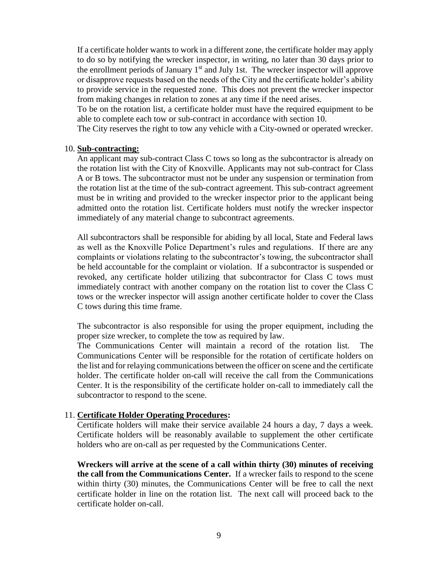If a certificate holder wants to work in a different zone, the certificate holder may apply to do so by notifying the wrecker inspector, in writing, no later than 30 days prior to the enrollment periods of January 1<sup>st</sup> and July 1st. The wrecker inspector will approve or disapprove requests based on the needs of the City and the certificate holder's ability to provide service in the requested zone.This does not prevent the wrecker inspector from making changes in relation to zones at any time if the need arises.

To be on the rotation list, a certificate holder must have the required equipment to be able to complete each tow or sub-contract in accordance with section 10.

The City reserves the right to tow any vehicle with a City-owned or operated wrecker.

#### 10. **Sub-contracting:**

An applicant may sub-contract Class C tows so long as the subcontractor is already on the rotation list with the City of Knoxville. Applicants may not sub-contract for Class A or B tows. The subcontractor must not be under any suspension or termination from the rotation list at the time of the sub-contract agreement. This sub-contract agreement must be in writing and provided to the wrecker inspector prior to the applicant being admitted onto the rotation list. Certificate holders must notify the wrecker inspector immediately of any material change to subcontract agreements.

All subcontractors shall be responsible for abiding by all local, State and Federal laws as well as the Knoxville Police Department's rules and regulations. If there are any complaints or violations relating to the subcontractor's towing, the subcontractor shall be held accountable for the complaint or violation. If a subcontractor is suspended or revoked, any certificate holder utilizing that subcontractor for Class C tows must immediately contract with another company on the rotation list to cover the Class C tows or the wrecker inspector will assign another certificate holder to cover the Class C tows during this time frame.

The subcontractor is also responsible for using the proper equipment, including the proper size wrecker, to complete the tow as required by law.

The Communications Center will maintain a record of the rotation list. The Communications Center will be responsible for the rotation of certificate holders on the list and for relaying communications between the officer on scene and the certificate holder. The certificate holder on-call will receive the call from the Communications Center. It is the responsibility of the certificate holder on-call to immediately call the subcontractor to respond to the scene.

#### 11. **Certificate Holder Operating Procedures:**

Certificate holders will make their service available 24 hours a day, 7 days a week. Certificate holders will be reasonably available to supplement the other certificate holders who are on-call as per requested by the Communications Center.

**Wreckers will arrive at the scene of a call within thirty (30) minutes of receiving the call from the Communications Center.** If a wrecker fails to respond to the scene within thirty (30) minutes, the Communications Center will be free to call the next certificate holder in line on the rotation list. The next call will proceed back to the certificate holder on-call.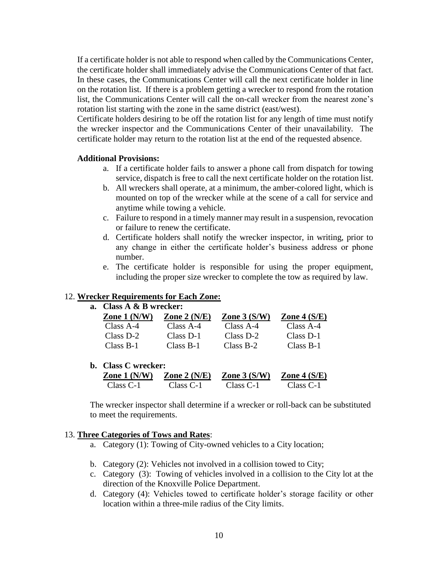If a certificate holder is not able to respond when called by the Communications Center, the certificate holder shall immediately advise the Communications Center of that fact. In these cases, the Communications Center will call the next certificate holder in line on the rotation list. If there is a problem getting a wrecker to respond from the rotation list, the Communications Center will call the on-call wrecker from the nearest zone's rotation list starting with the zone in the same district (east/west).

Certificate holders desiring to be off the rotation list for any length of time must notify the wrecker inspector and the Communications Center of their unavailability. The certificate holder may return to the rotation list at the end of the requested absence.

#### **Additional Provisions:**

- a. If a certificate holder fails to answer a phone call from dispatch for towing service, dispatch is free to call the next certificate holder on the rotation list.
- b. All wreckers shall operate, at a minimum, the amber-colored light, which is mounted on top of the wrecker while at the scene of a call for service and anytime while towing a vehicle.
- c. Failure to respond in a timely manner may result in a suspension, revocation or failure to renew the certificate.
- d. Certificate holders shall notify the wrecker inspector, in writing, prior to any change in either the certificate holder's business address or phone number.
- e. The certificate holder is responsible for using the proper equipment, including the proper size wrecker to complete the tow as required by law.

#### 12. **Wrecker Requirements for Each Zone:**

#### **a. Class A & B wrecker:**

| Zone $1(N/W)$ | Zone $2(N/E)$ | Zone $3(S/W)$ | Zone 4 $(S/E)$ |
|---------------|---------------|---------------|----------------|
| Class A-4     | Class A-4     | Class $A-4$   | Class A-4      |
| Class D-2     | Class D-1     | Class D-2     | Class D-1      |
| Class B-1     | Class B-1     | Class B-2     | Class B-1      |
|               |               |               |                |

**b. Class C wrecker: Zone 1 (N/W) Zone 2 (N/E) Zone 3 (S/W) Zone 4 (S/E)** Class C-1 Class C-1 Class C-1 Class C-1

The wrecker inspector shall determine if a wrecker or roll-back can be substituted to meet the requirements.

#### 13. **Three Categories of Tows and Rates**:

- a. Category (1): Towing of City-owned vehicles to a City location;
- b. Category (2): Vehicles not involved in a collision towed to City;
- c. Category (3): Towing of vehicles involved in a collision to the City lot at the direction of the Knoxville Police Department.
- d. Category (4): Vehicles towed to certificate holder's storage facility or other location within a three-mile radius of the City limits.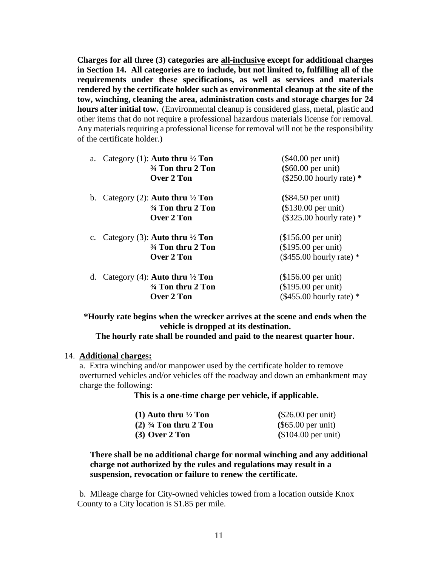**Charges for all three (3) categories are all-inclusive except for additional charges in Section 14. All categories are to include, but not limited to, fulfilling all of the requirements under these specifications, as well as services and materials rendered by the certificate holder such as environmental cleanup at the site of the tow, winching, cleaning the area, administration costs and storage charges for 24 hours after initial tow.** (Environmental cleanup is considered glass, metal, plastic and other items that do not require a professional hazardous materials license for removal. Any materials requiring a professional license for removal will not be the responsibility of the certificate holder.)

| a. Category (1): Auto thru $\frac{1}{2}$ Ton<br>34 Ton thru 2 Ton | $(\$40.00$ per unit)<br>$(\$60.00$ per unit) |
|-------------------------------------------------------------------|----------------------------------------------|
| <b>Over 2 Ton</b>                                                 | $(\$250.00$ hourly rate) *                   |
| b. Category (2): <b>Auto thru</b> $\frac{1}{2}$ <b>Ton</b>        | $(\$84.50$ per unit)                         |
| <sup>3</sup> / <sub>4</sub> Ton thru 2 Ton                        | $$130.00$ per unit)                          |
| Over 2 Ton                                                        | $(\$325.00$ hourly rate) *                   |
| c. Category (3): Auto thru $\frac{1}{2}$ Ton                      | $($156.00$ per unit)                         |
| <sup>3</sup> / <sub>4</sub> Ton thru 2 Ton                        | (\$195.00 per unit)                          |
| Over 2 Ton                                                        | $(\$455.00$ hourly rate) *                   |
| Category (4): Auto thru $\frac{1}{2}$ Ton<br>d.                   | $($156.00$ per unit)                         |
| 34 Ton thru 2 Ton                                                 | (\$195.00 per unit)                          |
| Over 2 Ton                                                        | $(\$455.00$ hourly rate) *                   |

**\*Hourly rate begins when the wrecker arrives at the scene and ends when the vehicle is dropped at its destination.**

# **The hourly rate shall be rounded and paid to the nearest quarter hour.**

#### 14. **Additional charges:**

a. Extra winching and/or manpower used by the certificate holder to remove overturned vehicles and/or vehicles off the roadway and down an embankment may charge the following:

**This is a one-time charge per vehicle, if applicable.**

| $(1)$ Auto thru $\frac{1}{2}$ Ton | $(\$26.00$ per unit) |  |
|-----------------------------------|----------------------|--|
| $(2)$ 3/4 Ton thru 2 Ton          | $(\$65.00$ per unit) |  |
| $(3)$ Over 2 Ton                  | $$104.00$ per unit)  |  |

# **There shall be no additional charge for normal winching and any additional charge not authorized by the rules and regulations may result in a suspension, revocation or failure to renew the certificate.**

b. Mileage charge for City-owned vehicles towed from a location outside Knox County to a City location is \$1.85 per mile.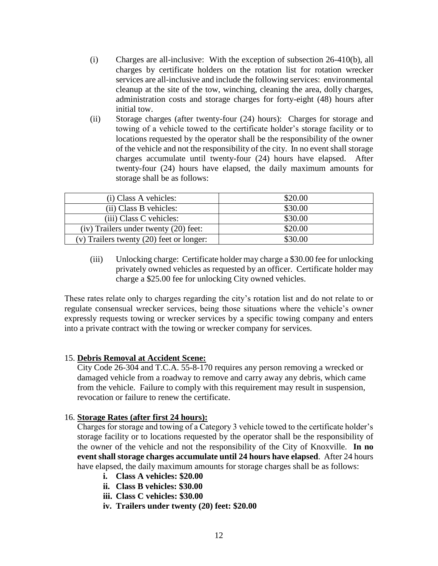- (i) Charges are all-inclusive: With the exception of subsection 26-410(b), all charges by certificate holders on the rotation list for rotation wrecker services are all-inclusive and include the following services: environmental cleanup at the site of the tow, winching, cleaning the area, dolly charges, administration costs and storage charges for forty-eight (48) hours after initial tow.
- (ii) Storage charges (after twenty-four (24) hours): Charges for storage and towing of a vehicle towed to the certificate holder's storage facility or to locations requested by the operator shall be the responsibility of the owner of the vehicle and not the responsibility of the city. In no event shall storage charges accumulate until twenty-four (24) hours have elapsed. After twenty-four (24) hours have elapsed, the daily maximum amounts for storage shall be as follows:

| (i) Class A vehicles:                    | \$20.00 |
|------------------------------------------|---------|
| (ii) Class B vehicles:                   | \$30.00 |
| (iii) Class C vehicles:                  | \$30.00 |
| (iv) Trailers under twenty (20) feet:    | \$20.00 |
| (v) Trailers twenty (20) feet or longer: | \$30.00 |

(iii) Unlocking charge: Certificate holder may charge a \$30.00 fee for unlocking privately owned vehicles as requested by an officer. Certificate holder may charge a \$25.00 fee for unlocking City owned vehicles.

These rates relate only to charges regarding the city's rotation list and do not relate to or regulate consensual wrecker services, being those situations where the vehicle's owner expressly requests towing or wrecker services by a specific towing company and enters into a private contract with the towing or wrecker company for services.

#### 15. **Debris Removal at Accident Scene:**

City Code 26-304 and T.C.A. 55-8-170 requires any person removing a wrecked or damaged vehicle from a roadway to remove and carry away any debris, which came from the vehicle. Failure to comply with this requirement may result in suspension, revocation or failure to renew the certificate.

#### 16. **Storage Rates (after first 24 hours):**

Charges for storage and towing of a Category 3 vehicle towed to the certificate holder's storage facility or to locations requested by the operator shall be the responsibility of the owner of the vehicle and not the responsibility of the City of Knoxville. **In no event shall storage charges accumulate until 24 hours have elapsed**. After 24 hours have elapsed, the daily maximum amounts for storage charges shall be as follows:

- **i. Class A vehicles: \$20.00**
- **ii. Class B vehicles: \$30.00**
- **iii. Class C vehicles: \$30.00**
- **iv. Trailers under twenty (20) feet: \$20.00**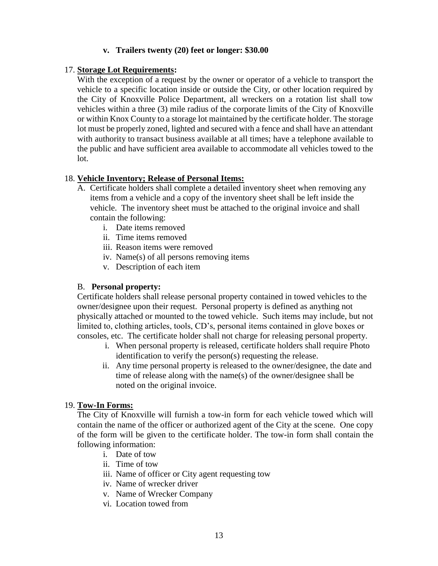# **v. Trailers twenty (20) feet or longer: \$30.00**

#### 17. **Storage Lot Requirements:**

With the exception of a request by the owner or operator of a vehicle to transport the vehicle to a specific location inside or outside the City, or other location required by the City of Knoxville Police Department, all wreckers on a rotation list shall tow vehicles within a three (3) mile radius of the corporate limits of the City of Knoxville or within Knox County to a storage lot maintained by the certificate holder. The storage lot must be properly zoned, lighted and secured with a fence and shall have an attendant with authority to transact business available at all times; have a telephone available to the public and have sufficient area available to accommodate all vehicles towed to the lot.

# 18. **Vehicle Inventory; Release of Personal Items:**

- A. Certificate holders shall complete a detailed inventory sheet when removing any items from a vehicle and a copy of the inventory sheet shall be left inside the vehicle. The inventory sheet must be attached to the original invoice and shall contain the following:
	- i. Date items removed
	- ii. Time items removed
	- iii. Reason items were removed
	- iv. Name(s) of all persons removing items
	- v. Description of each item

# B. **Personal property:**

Certificate holders shall release personal property contained in towed vehicles to the owner/designee upon their request. Personal property is defined as anything not physically attached or mounted to the towed vehicle. Such items may include, but not limited to, clothing articles, tools, CD's, personal items contained in glove boxes or consoles, etc. The certificate holder shall not charge for releasing personal property.

- i. When personal property is released, certificate holders shall require Photo identification to verify the person(s) requesting the release.
- ii. Any time personal property is released to the owner/designee, the date and time of release along with the name(s) of the owner/designee shall be noted on the original invoice.

# 19. **Tow-In Forms:**

The City of Knoxville will furnish a tow-in form for each vehicle towed which will contain the name of the officer or authorized agent of the City at the scene. One copy of the form will be given to the certificate holder. The tow-in form shall contain the following information:

- i. Date of tow
- ii. Time of tow
- iii. Name of officer or City agent requesting tow
- iv. Name of wrecker driver
- v. Name of Wrecker Company
- vi. Location towed from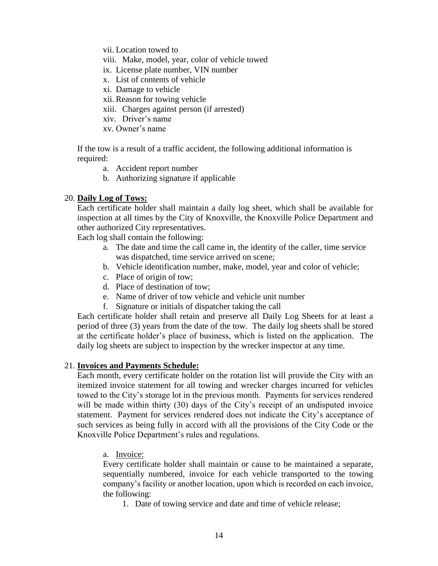vii. Location towed to

viii. Make, model, year, color of vehicle towed

ix. License plate number, VIN number

x. List of contents of vehicle

xi. Damage to vehicle

xii. Reason for towing vehicle

xiii. Charges against person (if arrested)

xiv. Driver's name

xv. Owner's name

If the tow is a result of a traffic accident, the following additional information is required:

a. Accident report number

b. Authorizing signature if applicable

# 20. **Daily Log of Tows:**

Each certificate holder shall maintain a daily log sheet, which shall be available for inspection at all times by the City of Knoxville, the Knoxville Police Department and other authorized City representatives.

Each log shall contain the following:

- a. The date and time the call came in, the identity of the caller, time service was dispatched, time service arrived on scene;
- b. Vehicle identification number, make, model, year and color of vehicle;
- c. Place of origin of tow;
- d. Place of destination of tow;
- e. Name of driver of tow vehicle and vehicle unit number
- f. Signature or initials of dispatcher taking the call

Each certificate holder shall retain and preserve all Daily Log Sheets for at least a period of three (3) years from the date of the tow. The daily log sheets shall be stored at the certificate holder's place of business, which is listed on the application. The daily log sheets are subject to inspection by the wrecker inspector at any time.

#### 21. **Invoices and Payments Schedule:**

Each month, every certificate holder on the rotation list will provide the City with an itemized invoice statement for all towing and wrecker charges incurred for vehicles towed to the City's storage lot in the previous month. Payments for services rendered will be made within thirty (30) days of the City's receipt of an undisputed invoice statement. Payment for services rendered does not indicate the City's acceptance of such services as being fully in accord with all the provisions of the City Code or the Knoxville Police Department's rules and regulations.

#### a. Invoice:

Every certificate holder shall maintain or cause to be maintained a separate, sequentially numbered, invoice for each vehicle transported to the towing company's facility or another location, upon which is recorded on each invoice, the following:

1. Date of towing service and date and time of vehicle release;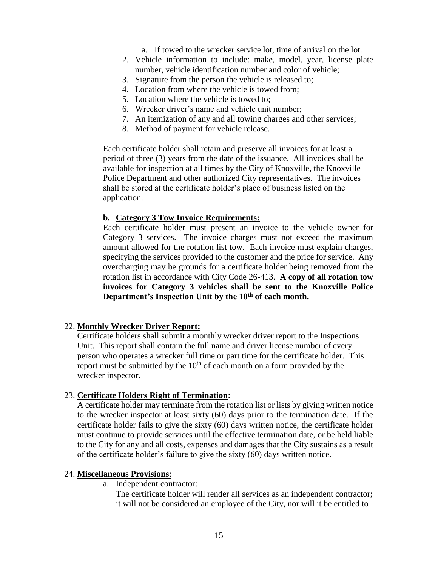- a. If towed to the wrecker service lot, time of arrival on the lot.
- 2. Vehicle information to include: make, model, year, license plate number, vehicle identification number and color of vehicle;
- 3. Signature from the person the vehicle is released to;
- 4. Location from where the vehicle is towed from;
- 5. Location where the vehicle is towed to;
- 6. Wrecker driver's name and vehicle unit number;
- 7. An itemization of any and all towing charges and other services;
- 8. Method of payment for vehicle release.

Each certificate holder shall retain and preserve all invoices for at least a period of three (3) years from the date of the issuance. All invoices shall be available for inspection at all times by the City of Knoxville, the Knoxville Police Department and other authorized City representatives. The invoices shall be stored at the certificate holder's place of business listed on the application.

#### **b. Category 3 Tow Invoice Requirements:**

 Each certificate holder must present an invoice to the vehicle owner for Category 3 services. The invoice charges must not exceed the maximum amount allowed for the rotation list tow. Each invoice must explain charges, specifying the services provided to the customer and the price for service. Any overcharging may be grounds for a certificate holder being removed from the rotation list in accordance with City Code 26-413. **A copy of all rotation tow invoices for Category 3 vehicles shall be sent to the Knoxville Police Department's Inspection Unit by the 10th of each month.**

#### 22. **Monthly Wrecker Driver Report:**

Certificate holders shall submit a monthly wrecker driver report to the Inspections Unit. This report shall contain the full name and driver license number of every person who operates a wrecker full time or part time for the certificate holder. This report must be submitted by the  $10<sup>th</sup>$  of each month on a form provided by the wrecker inspector.

#### 23. **Certificate Holders Right of Termination:**

A certificate holder may terminate from the rotation list or lists by giving written notice to the wrecker inspector at least sixty (60) days prior to the termination date. If the certificate holder fails to give the sixty (60) days written notice, the certificate holder must continue to provide services until the effective termination date, or be held liable to the City for any and all costs, expenses and damages that the City sustains as a result of the certificate holder's failure to give the sixty (60) days written notice.

#### 24. **Miscellaneous Provisions**:

a. Independent contractor:

The certificate holder will render all services as an independent contractor; it will not be considered an employee of the City, nor will it be entitled to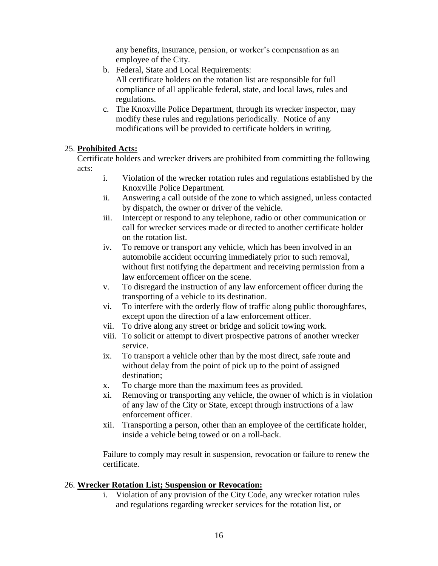any benefits, insurance, pension, or worker's compensation as an employee of the City.

- b. Federal, State and Local Requirements: All certificate holders on the rotation list are responsible for full compliance of all applicable federal, state, and local laws, rules and regulations.
- c. The Knoxville Police Department, through its wrecker inspector, may modify these rules and regulations periodically. Notice of any modifications will be provided to certificate holders in writing.

# 25. **Prohibited Acts:**

Certificate holders and wrecker drivers are prohibited from committing the following acts:

- i. Violation of the wrecker rotation rules and regulations established by the Knoxville Police Department.
- ii. Answering a call outside of the zone to which assigned, unless contacted by dispatch, the owner or driver of the vehicle.
- iii. Intercept or respond to any telephone, radio or other communication or call for wrecker services made or directed to another certificate holder on the rotation list.
- iv. To remove or transport any vehicle, which has been involved in an automobile accident occurring immediately prior to such removal, without first notifying the department and receiving permission from a law enforcement officer on the scene.
- v. To disregard the instruction of any law enforcement officer during the transporting of a vehicle to its destination.
- vi. To interfere with the orderly flow of traffic along public thoroughfares, except upon the direction of a law enforcement officer.
- vii. To drive along any street or bridge and solicit towing work.
- viii. To solicit or attempt to divert prospective patrons of another wrecker service.
- ix. To transport a vehicle other than by the most direct, safe route and without delay from the point of pick up to the point of assigned destination;
- x. To charge more than the maximum fees as provided.
- xi. Removing or transporting any vehicle, the owner of which is in violation of any law of the City or State, except through instructions of a law enforcement officer.
- xii. Transporting a person, other than an employee of the certificate holder, inside a vehicle being towed or on a roll-back.

Failure to comply may result in suspension, revocation or failure to renew the certificate.

# 26. **Wrecker Rotation List; Suspension or Revocation:**

i. Violation of any provision of the City Code, any wrecker rotation rules and regulations regarding wrecker services for the rotation list, or